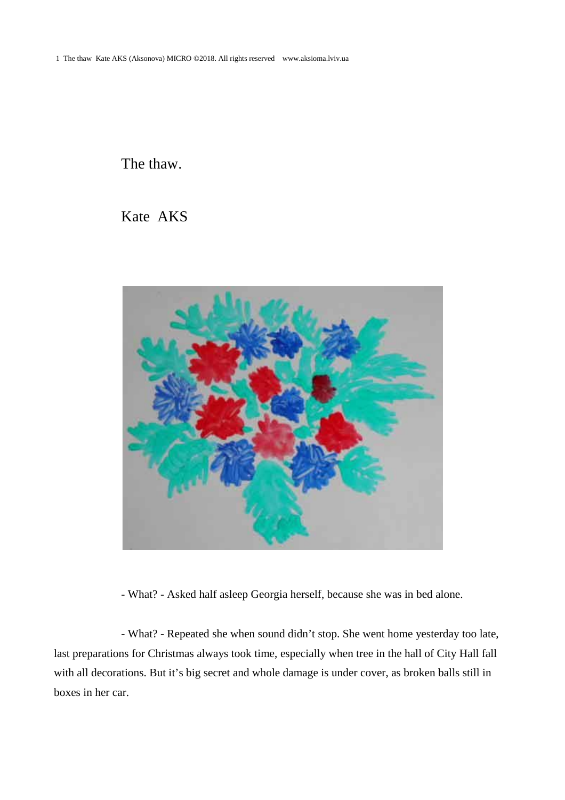1 The thaw Kate AKS (Aksonova) MICRO ©2018. All rights reserved www.aksioma.lviv.ua

The thaw.

Kate AKS



- What? - Asked half asleep Georgia herself, because she was in bed alone.

- What? - Repeated she when sound didn't stop. She went home yesterday too late, last preparations for Christmas always took time, especially when tree in the hall of City Hall fall with all decorations. But it's big secret and whole damage is under cover, as broken balls still in boxes in her car.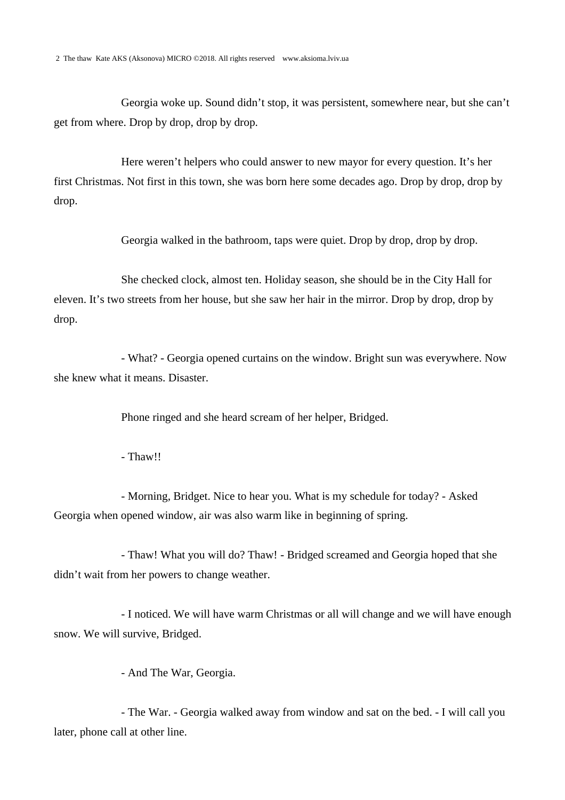Georgia woke up. Sound didn't stop, it was persistent, somewhere near, but she can't get from where. Drop by drop, drop by drop.

Here weren't helpers who could answer to new mayor for every question. It's her first Christmas. Not first in this town, she was born here some decades ago. Drop by drop, drop by drop.

Georgia walked in the bathroom, taps were quiet. Drop by drop, drop by drop.

She checked clock, almost ten. Holiday season, she should be in the City Hall for eleven. It's two streets from her house, but she saw her hair in the mirror. Drop by drop, drop by drop.

- What? - Georgia opened curtains on the window. Bright sun was everywhere. Now she knew what it means. Disaster.

Phone ringed and she heard scream of her helper, Bridged.

- Thaw!!

- Morning, Bridget. Nice to hear you. What is my schedule for today? - Asked Georgia when opened window, air was also warm like in beginning of spring.

- Thaw! What you will do? Thaw! - Bridged screamed and Georgia hoped that she didn't wait from her powers to change weather.

- I noticed. We will have warm Christmas or all will change and we will have enough snow. We will survive, Bridged.

- And The War, Georgia.

- The War. - Georgia walked away from window and sat on the bed. - I will call you later, phone call at other line.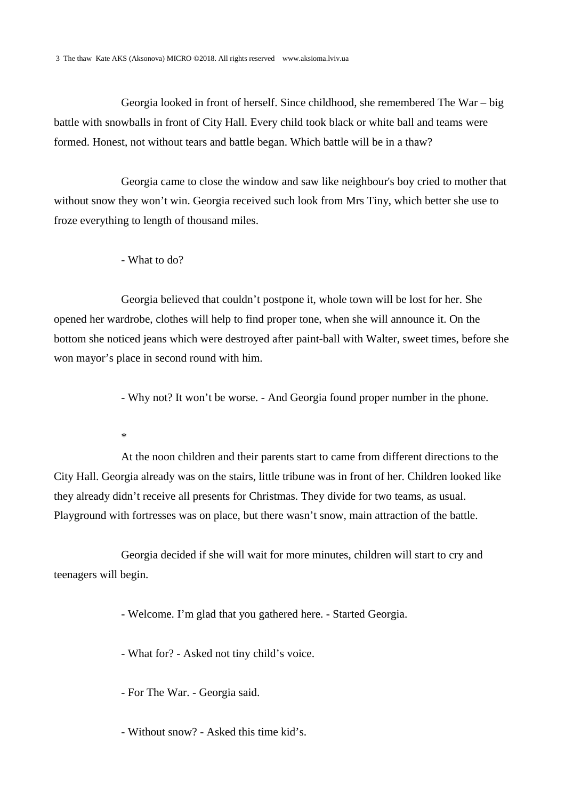Georgia looked in front of herself. Since childhood, she remembered The War – big battle with snowballs in front of City Hall. Every child took black or white ball and teams were formed. Honest, not without tears and battle began. Which battle will be in a thaw?

Georgia came to close the window and saw like neighbour's boy cried to mother that without snow they won't win. Georgia received such look from Mrs Tiny, which better she use to froze everything to length of thousand miles.

- What to do?

Georgia believed that couldn't postpone it, whole town will be lost for her. She opened her wardrobe, clothes will help to find proper tone, when she will announce it. On the bottom she noticed jeans which were destroyed after paint-ball with Walter, sweet times, before she won mayor's place in second round with him.

- Why not? It won't be worse. - And Georgia found proper number in the phone.

\*

At the noon children and their parents start to came from different directions to the City Hall. Georgia already was on the stairs, little tribune was in front of her. Children looked like they already didn't receive all presents for Christmas. They divide for two teams, as usual. Playground with fortresses was on place, but there wasn't snow, main attraction of the battle.

Georgia decided if she will wait for more minutes, children will start to cry and teenagers will begin.

- Welcome. I'm glad that you gathered here. - Started Georgia.

- What for? - Asked not tiny child's voice.

- For The War. - Georgia said.

- Without snow? - Asked this time kid's.